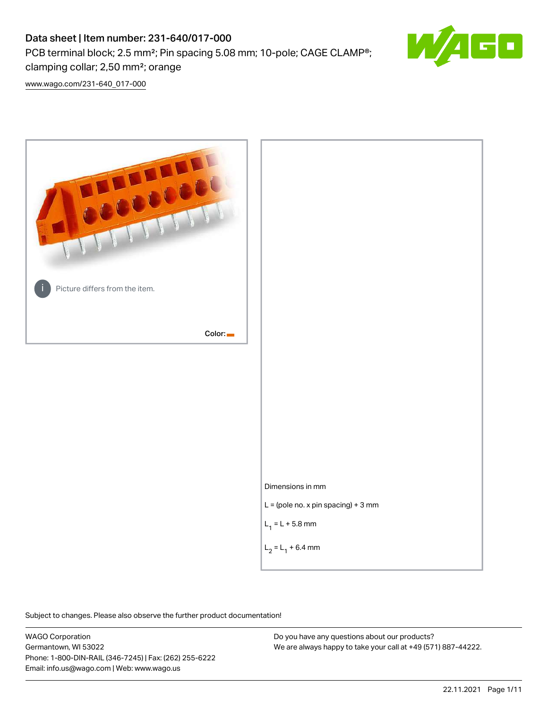# Data sheet | Item number: 231-640/017-000

PCB terminal block; 2.5 mm²; Pin spacing 5.08 mm; 10-pole; CAGE CLAMP®;

clamping collar; 2,50 mm²; orange

[www.wago.com/231-640\\_017-000](http://www.wago.com/231-640_017-000)



Subject to changes. Please also observe the further product documentation!

WAGO Corporation Germantown, WI 53022 Phone: 1-800-DIN-RAIL (346-7245) | Fax: (262) 255-6222 Email: info.us@wago.com | Web: www.wago.us

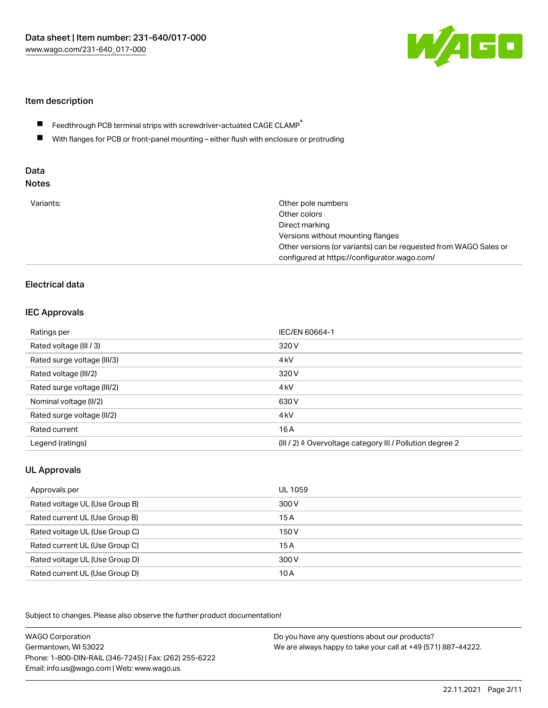

## Item description

- Feedthrough PCB terminal strips with screwdriver-actuated CAGE CLAMP $^\circ$  $\blacksquare$
- $\blacksquare$ With flanges for PCB or front-panel mounting – either flush with enclosure or protruding

# Data

| Variants:<br>Other pole numbers<br>Other colors<br>Direct marking<br>Versions without mounting flanges<br>Other versions (or variants) can be requested from WAGO Sales or<br>configured at https://configurator.wago.com/ |  |
|----------------------------------------------------------------------------------------------------------------------------------------------------------------------------------------------------------------------------|--|
|----------------------------------------------------------------------------------------------------------------------------------------------------------------------------------------------------------------------------|--|

# Electrical data

#### IEC Approvals

| Ratings per                 | IEC/EN 60664-1                                                        |
|-----------------------------|-----------------------------------------------------------------------|
| Rated voltage (III / 3)     | 320 V                                                                 |
| Rated surge voltage (III/3) | 4 <sub>k</sub> V                                                      |
| Rated voltage (III/2)       | 320 V                                                                 |
| Rated surge voltage (III/2) | 4 <sub>k</sub> V                                                      |
| Nominal voltage (II/2)      | 630 V                                                                 |
| Rated surge voltage (II/2)  | 4 <sub>k</sub> V                                                      |
| Rated current               | 16A                                                                   |
| Legend (ratings)            | $(III / 2)$ $\triangle$ Overvoltage category III / Pollution degree 2 |

# UL Approvals

| Approvals per                  | UL 1059 |
|--------------------------------|---------|
| Rated voltage UL (Use Group B) | 300 V   |
| Rated current UL (Use Group B) | 15 A    |
| Rated voltage UL (Use Group C) | 150 V   |
| Rated current UL (Use Group C) | 15A     |
| Rated voltage UL (Use Group D) | 300 V   |
| Rated current UL (Use Group D) | 10 A    |

Subject to changes. Please also observe the further product documentation!

| <b>WAGO Corporation</b>                                | Do you have any questions about our products?                 |
|--------------------------------------------------------|---------------------------------------------------------------|
| Germantown, WI 53022                                   | We are always happy to take your call at +49 (571) 887-44222. |
| Phone: 1-800-DIN-RAIL (346-7245)   Fax: (262) 255-6222 |                                                               |
| Email: info.us@wago.com   Web: www.wago.us             |                                                               |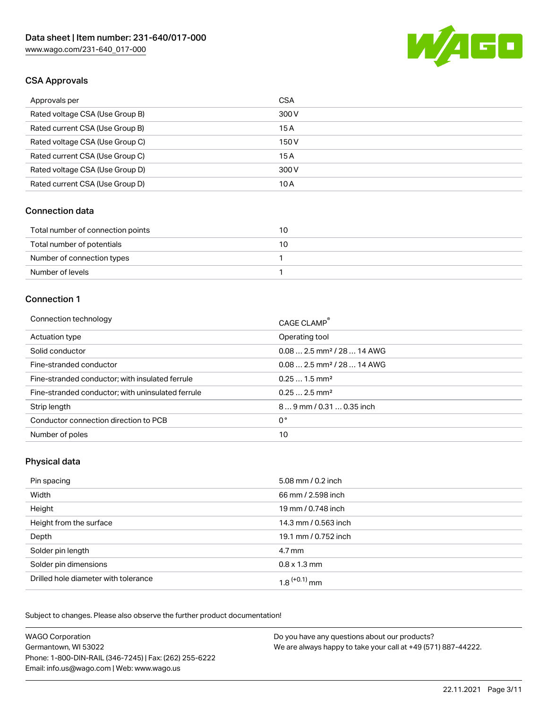

# CSA Approvals

| Approvals per                   | <b>CSA</b> |
|---------------------------------|------------|
| Rated voltage CSA (Use Group B) | 300 V      |
| Rated current CSA (Use Group B) | 15A        |
| Rated voltage CSA (Use Group C) | 150 V      |
| Rated current CSA (Use Group C) | 15 A       |
| Rated voltage CSA (Use Group D) | 300 V      |
| Rated current CSA (Use Group D) | 10 A       |

#### Connection data

| Total number of connection points | 10 |
|-----------------------------------|----|
| Total number of potentials        | 10 |
| Number of connection types        |    |
| Number of levels                  |    |

#### Connection 1

| Connection technology                             | CAGE CLAMP <sup>®</sup>                 |
|---------------------------------------------------|-----------------------------------------|
| Actuation type                                    | Operating tool                          |
| Solid conductor                                   | $0.08$ 2.5 mm <sup>2</sup> / 28  14 AWG |
| Fine-stranded conductor                           | $0.08$ 2.5 mm <sup>2</sup> / 28  14 AWG |
| Fine-stranded conductor; with insulated ferrule   | $0.251.5$ mm <sup>2</sup>               |
| Fine-stranded conductor; with uninsulated ferrule | $0.252.5$ mm <sup>2</sup>               |
| Strip length                                      | $89$ mm $/ 0.310.35$ inch               |
| Conductor connection direction to PCB             | 0°                                      |
| Number of poles                                   | 10                                      |

#### Physical data

| Pin spacing                          | 5.08 mm / 0.2 inch   |
|--------------------------------------|----------------------|
| Width                                | 66 mm / 2.598 inch   |
| Height                               | 19 mm / 0.748 inch   |
| Height from the surface              | 14.3 mm / 0.563 inch |
| Depth                                | 19.1 mm / 0.752 inch |
| Solder pin length                    | 4.7 mm               |
| Solder pin dimensions                | $0.8 \times 1.3$ mm  |
| Drilled hole diameter with tolerance | $1.8$ $(+0.1)$ mm    |

Subject to changes. Please also observe the further product documentation! Mechanical data

| <b>WAGO Corporation</b>                                | Do you have any questions about our products?                 |
|--------------------------------------------------------|---------------------------------------------------------------|
| Germantown, WI 53022                                   | We are always happy to take your call at +49 (571) 887-44222. |
| Phone: 1-800-DIN-RAIL (346-7245)   Fax: (262) 255-6222 |                                                               |
| Email: info.us@wago.com   Web: www.wago.us             |                                                               |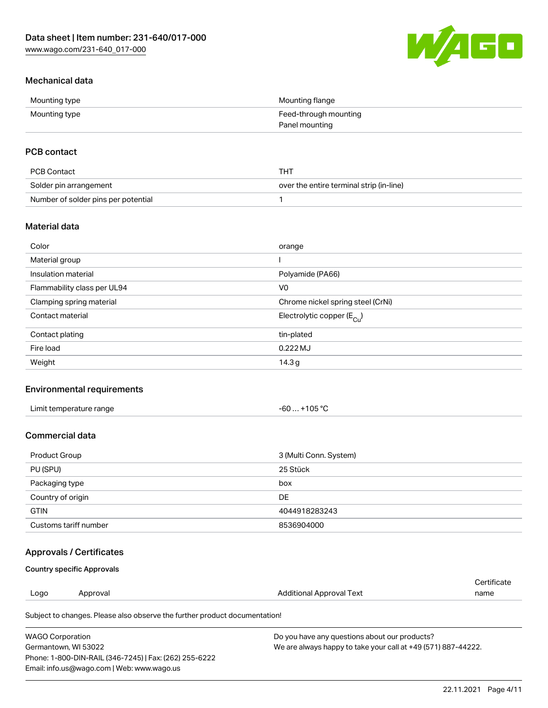

# Mechanical data

| Mounting type | Mounting flange       |
|---------------|-----------------------|
| Mounting type | Feed-through mounting |
|               | Panel mounting        |

## PCB contact

| PCB Contact                         | тнт                                      |
|-------------------------------------|------------------------------------------|
| Solder pin arrangement              | over the entire terminal strip (in-line) |
| Number of solder pins per potential |                                          |

## Material data

| Color                       | orange                                 |
|-----------------------------|----------------------------------------|
| Material group              |                                        |
| Insulation material         | Polyamide (PA66)                       |
| Flammability class per UL94 | V <sub>0</sub>                         |
| Clamping spring material    | Chrome nickel spring steel (CrNi)      |
| Contact material            | Electrolytic copper (E <sub>Cu</sub> ) |
| Contact plating             | tin-plated                             |
| Fire load                   | $0.222$ MJ                             |
| Weight                      | 14.3 <sub>g</sub>                      |

## Environmental requirements

| Limit temperature range<br>. | +105 $^{\circ}$ C<br>-60 |  |
|------------------------------|--------------------------|--|
|------------------------------|--------------------------|--|

#### Commercial data

| Product Group         | 3 (Multi Conn. System) |
|-----------------------|------------------------|
| PU (SPU)              | 25 Stück               |
| Packaging type        | box                    |
| Country of origin     | DE                     |
| <b>GTIN</b>           | 4044918283243          |
| Customs tariff number | 8536904000             |

## Approvals / Certificates

#### Country specific Approvals

|      |          |                                                                            | Certificate |
|------|----------|----------------------------------------------------------------------------|-------------|
| Logo | Approval | Additional Approval Text                                                   | name        |
|      |          | Subject to changes. Please also observe the further product documentation! |             |

| WAGO Corporation                                       | Do you have any questions about our products?                 |
|--------------------------------------------------------|---------------------------------------------------------------|
| Germantown. WI 53022                                   | We are always happy to take your call at +49 (571) 887-44222. |
| Phone: 1-800-DIN-RAIL (346-7245)   Fax: (262) 255-6222 |                                                               |
| Email: info.us@wago.com   Web: www.wago.us             |                                                               |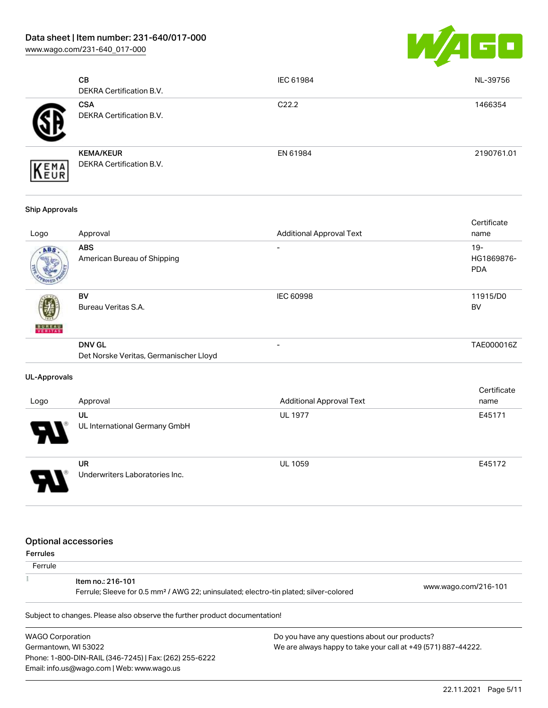[www.wago.com/231-640\\_017-000](http://www.wago.com/231-640_017-000)



| <b>CB</b><br><b>DEKRA Certification B.V.</b>        | IEC 61984         | NL-39756   |
|-----------------------------------------------------|-------------------|------------|
| <b>CSA</b><br><b>DEKRA Certification B.V.</b>       | C <sub>22.2</sub> | 1466354    |
| <b>KEMA/KEUR</b><br><b>DEKRA Certification B.V.</b> | EN 61984          | 2190761.01 |

#### Ship Approvals

| Logo          | Approval                                                | <b>Additional Approval Text</b> | Certificate<br>name               |
|---------------|---------------------------------------------------------|---------------------------------|-----------------------------------|
| ABS           | <b>ABS</b><br>American Bureau of Shipping               |                                 | $19-$<br>HG1869876-<br><b>PDA</b> |
| <b>BUREAU</b> | BV<br>Bureau Veritas S.A.                               | <b>IEC 60998</b>                | 11915/D0<br><b>BV</b>             |
|               | <b>DNV GL</b><br>Det Norske Veritas, Germanischer Lloyd | -                               | TAE000016Z                        |

#### UL-Approvals

| Logo                  | Approval                                    | <b>Additional Approval Text</b> | Certificate<br>name |
|-----------------------|---------------------------------------------|---------------------------------|---------------------|
| $\boldsymbol{\theta}$ | UL<br>UL International Germany GmbH         | <b>UL 1977</b>                  | E45171              |
| J                     | <b>UR</b><br>Underwriters Laboratories Inc. | <b>UL 1059</b>                  | E45172              |

#### Optional accessories

| Ferrule |                                                                                                                        |                      |
|---------|------------------------------------------------------------------------------------------------------------------------|----------------------|
|         | ltem no.: 216-101<br>Ferrule; Sleeve for 0.5 mm <sup>2</sup> / AWG 22; uninsulated; electro-tin plated; silver-colored | www.wago.com/216-101 |

Subject to changes. Please also observe the further product documentation!

WAGO Corporation Germantown, WI 53022 Phone: 1-800-DIN-RAIL (346-7245) | Fax: (262) 255-6222 Email: info.us@wago.com | Web: www.wago.us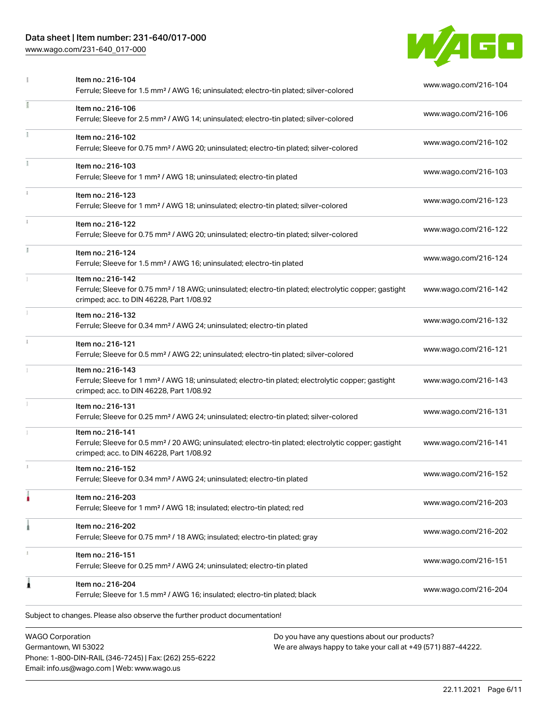# Data sheet | Item number: 231-640/017-000

Phone: 1-800-DIN-RAIL (346-7245) | Fax: (262) 255-6222

Email: info.us@wago.com | Web: www.wago.us

[www.wago.com/231-640\\_017-000](http://www.wago.com/231-640_017-000)



|   | Item no.: 216-104<br>Ferrule; Sleeve for 1.5 mm <sup>2</sup> / AWG 16; uninsulated; electro-tin plated; silver-colored                                                             |                                                                                                                | www.wago.com/216-104 |
|---|------------------------------------------------------------------------------------------------------------------------------------------------------------------------------------|----------------------------------------------------------------------------------------------------------------|----------------------|
| ı | Item no.: 216-106<br>Ferrule; Sleeve for 2.5 mm <sup>2</sup> / AWG 14; uninsulated; electro-tin plated; silver-colored                                                             |                                                                                                                | www.wago.com/216-106 |
|   | Item no.: 216-102<br>Ferrule; Sleeve for 0.75 mm <sup>2</sup> / AWG 20; uninsulated; electro-tin plated; silver-colored                                                            |                                                                                                                | www.wago.com/216-102 |
|   | Item no.: 216-103<br>Ferrule; Sleeve for 1 mm <sup>2</sup> / AWG 18; uninsulated; electro-tin plated                                                                               |                                                                                                                | www.wago.com/216-103 |
|   | Item no.: 216-123<br>Ferrule; Sleeve for 1 mm <sup>2</sup> / AWG 18; uninsulated; electro-tin plated; silver-colored                                                               |                                                                                                                | www.wago.com/216-123 |
|   | Item no.: 216-122<br>Ferrule; Sleeve for 0.75 mm <sup>2</sup> / AWG 20; uninsulated; electro-tin plated; silver-colored                                                            |                                                                                                                | www.wago.com/216-122 |
|   | Item no.: 216-124<br>Ferrule; Sleeve for 1.5 mm <sup>2</sup> / AWG 16; uninsulated; electro-tin plated                                                                             |                                                                                                                | www.wago.com/216-124 |
|   | Item no.: 216-142<br>Ferrule; Sleeve for 0.75 mm <sup>2</sup> / 18 AWG; uninsulated; electro-tin plated; electrolytic copper; gastight<br>crimped; acc. to DIN 46228, Part 1/08.92 |                                                                                                                | www.wago.com/216-142 |
|   | Item no.: 216-132<br>Ferrule; Sleeve for 0.34 mm <sup>2</sup> / AWG 24; uninsulated; electro-tin plated                                                                            |                                                                                                                | www.wago.com/216-132 |
|   | Item no.: 216-121<br>Ferrule; Sleeve for 0.5 mm <sup>2</sup> / AWG 22; uninsulated; electro-tin plated; silver-colored                                                             |                                                                                                                | www.wago.com/216-121 |
|   | Item no.: 216-143<br>Ferrule; Sleeve for 1 mm <sup>2</sup> / AWG 18; uninsulated; electro-tin plated; electrolytic copper; gastight<br>crimped; acc. to DIN 46228, Part 1/08.92    |                                                                                                                | www.wago.com/216-143 |
|   | Item no.: 216-131<br>Ferrule; Sleeve for 0.25 mm <sup>2</sup> / AWG 24; uninsulated; electro-tin plated; silver-colored                                                            |                                                                                                                | www.wago.com/216-131 |
|   | Item no.: 216-141<br>Ferrule; Sleeve for 0.5 mm <sup>2</sup> / 20 AWG; uninsulated; electro-tin plated; electrolytic copper; gastight<br>crimped; acc. to DIN 46228, Part 1/08.92  |                                                                                                                | www.wago.com/216-141 |
|   | Item no.: 216-152<br>Ferrule; Sleeve for 0.34 mm <sup>2</sup> / AWG 24; uninsulated; electro-tin plated                                                                            |                                                                                                                | www.wago.com/216-152 |
|   | Item no.: 216-203<br>Ferrule; Sleeve for 1 mm <sup>2</sup> / AWG 18; insulated; electro-tin plated; red                                                                            |                                                                                                                | www.wago.com/216-203 |
|   | Item no.: 216-202<br>Ferrule; Sleeve for 0.75 mm <sup>2</sup> / 18 AWG; insulated; electro-tin plated; gray                                                                        |                                                                                                                | www.wago.com/216-202 |
|   | Item no.: 216-151<br>Ferrule; Sleeve for 0.25 mm <sup>2</sup> / AWG 24; uninsulated; electro-tin plated                                                                            |                                                                                                                | www.wago.com/216-151 |
| 1 | Item no.: 216-204<br>Ferrule; Sleeve for 1.5 mm <sup>2</sup> / AWG 16; insulated; electro-tin plated; black                                                                        |                                                                                                                | www.wago.com/216-204 |
|   | Subject to changes. Please also observe the further product documentation!                                                                                                         |                                                                                                                |                      |
|   | <b>WAGO Corporation</b><br>Germantown, WI 53022                                                                                                                                    | Do you have any questions about our products?<br>We are always happy to take your call at +49 (571) 887-44222. |                      |

22.11.2021 Page 6/11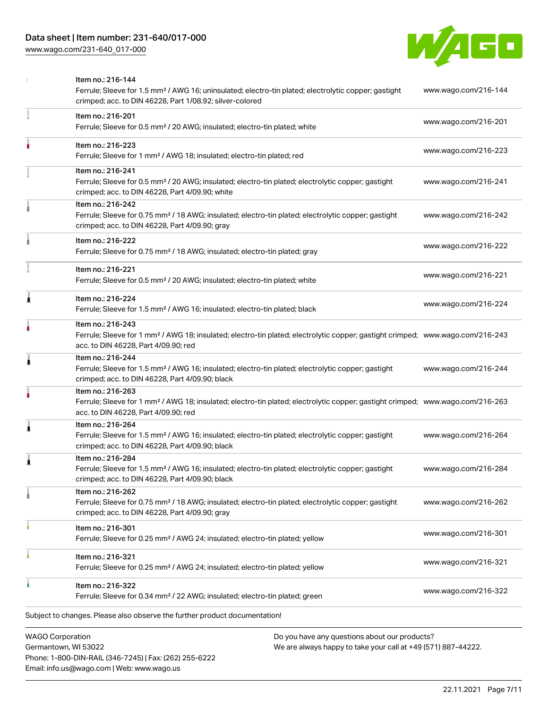# Data sheet | Item number: 231-640/017-000

[www.wago.com/231-640\\_017-000](http://www.wago.com/231-640_017-000)



|                         | Item no.: 216-144<br>Ferrule; Sleeve for 1.5 mm <sup>2</sup> / AWG 16; uninsulated; electro-tin plated; electrolytic copper; gastight<br>crimped; acc. to DIN 46228, Part 1/08.92; silver-colored       | www.wago.com/216-144 |
|-------------------------|---------------------------------------------------------------------------------------------------------------------------------------------------------------------------------------------------------|----------------------|
|                         | Item no.: 216-201<br>Ferrule; Sleeve for 0.5 mm <sup>2</sup> / 20 AWG; insulated; electro-tin plated; white                                                                                             | www.wago.com/216-201 |
|                         | Item no.: 216-223<br>Ferrule; Sleeve for 1 mm <sup>2</sup> / AWG 18; insulated; electro-tin plated; red                                                                                                 | www.wago.com/216-223 |
|                         | Item no.: 216-241<br>Ferrule; Sleeve for 0.5 mm <sup>2</sup> / 20 AWG; insulated; electro-tin plated; electrolytic copper; gastight<br>crimped; acc. to DIN 46228, Part 4/09.90; white                  | www.wago.com/216-241 |
|                         | Item no.: 216-242<br>Ferrule; Sleeve for 0.75 mm <sup>2</sup> / 18 AWG; insulated; electro-tin plated; electrolytic copper; gastight<br>crimped; acc. to DIN 46228, Part 4/09.90; gray                  | www.wago.com/216-242 |
|                         | Item no.: 216-222<br>Ferrule; Sleeve for 0.75 mm <sup>2</sup> / 18 AWG; insulated; electro-tin plated; gray                                                                                             | www.wago.com/216-222 |
|                         | Item no.: 216-221<br>Ferrule; Sleeve for 0.5 mm <sup>2</sup> / 20 AWG; insulated; electro-tin plated; white                                                                                             | www.wago.com/216-221 |
| ٨                       | Item no.: 216-224<br>Ferrule; Sleeve for 1.5 mm <sup>2</sup> / AWG 16; insulated; electro-tin plated; black                                                                                             | www.wago.com/216-224 |
|                         | Item no.: 216-243<br>Ferrule; Sleeve for 1 mm <sup>2</sup> / AWG 18; insulated; electro-tin plated; electrolytic copper; gastight crimped; www.wago.com/216-243<br>acc. to DIN 46228, Part 4/09.90; red |                      |
| 1                       | Item no.: 216-244<br>Ferrule; Sleeve for 1.5 mm <sup>2</sup> / AWG 16; insulated; electro-tin plated; electrolytic copper; gastight<br>crimped; acc. to DIN 46228, Part 4/09.90; black                  | www.wago.com/216-244 |
|                         | Item no.: 216-263<br>Ferrule; Sleeve for 1 mm <sup>2</sup> / AWG 18; insulated; electro-tin plated; electrolytic copper; gastight crimped; www.wago.com/216-263<br>acc. to DIN 46228, Part 4/09.90; red |                      |
| 1                       | Item no.: 216-264<br>Ferrule; Sleeve for 1.5 mm <sup>2</sup> / AWG 16; insulated; electro-tin plated; electrolytic copper; gastight<br>crimped; acc. to DIN 46228, Part 4/09.90; black                  | www.wago.com/216-264 |
| 1                       | Item no.: 216-284<br>Ferrule; Sleeve for 1.5 mm <sup>2</sup> / AWG 16; insulated; electro-tin plated; electrolytic copper; gastight<br>crimped; acc. to DIN 46228, Part 4/09.90; black                  | www.wago.com/216-284 |
|                         | Item no.: 216-262<br>Ferrule; Sleeve for 0.75 mm <sup>2</sup> / 18 AWG; insulated; electro-tin plated; electrolytic copper; gastight<br>crimped; acc. to DIN 46228, Part 4/09.90; gray                  | www.wago.com/216-262 |
|                         | Item no.: 216-301<br>Ferrule; Sleeve for 0.25 mm <sup>2</sup> / AWG 24; insulated; electro-tin plated; yellow                                                                                           | www.wago.com/216-301 |
|                         | Item no.: 216-321<br>Ferrule; Sleeve for 0.25 mm <sup>2</sup> / AWG 24; insulated; electro-tin plated; yellow                                                                                           | www.wago.com/216-321 |
|                         | Item no.: 216-322<br>Ferrule; Sleeve for 0.34 mm <sup>2</sup> / 22 AWG; insulated; electro-tin plated; green                                                                                            | www.wago.com/216-322 |
|                         | Subject to changes. Please also observe the further product documentation!                                                                                                                              |                      |
| <b>WAGO Corporation</b> | Do you have any questions about our products?                                                                                                                                                           |                      |

Germantown, WI 53022 Phone: 1-800-DIN-RAIL (346-7245) | Fax: (262) 255-6222 Email: info.us@wago.com | Web: www.wago.us

have any questions about o<mark>i</mark> We are always happy to take your call at +49 (571) 887-44222.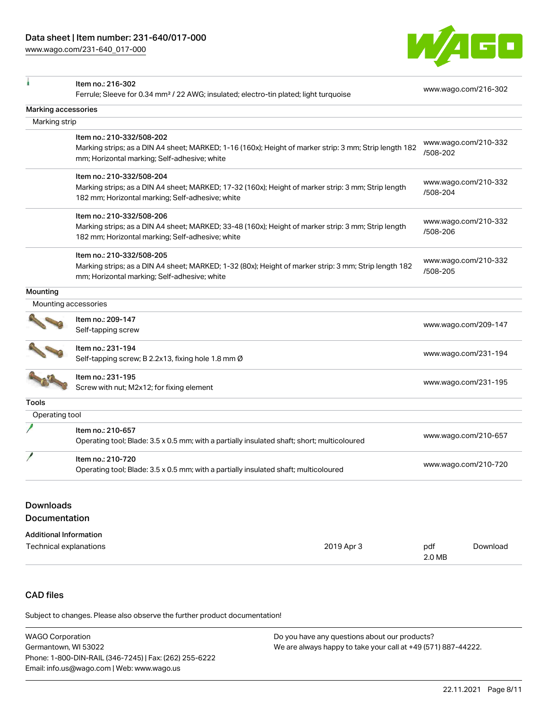[www.wago.com/231-640\\_017-000](http://www.wago.com/231-640_017-000)



|                                      | Item no.: 216-302                                                                                                                                       |                                  |  |
|--------------------------------------|---------------------------------------------------------------------------------------------------------------------------------------------------------|----------------------------------|--|
|                                      | Ferrule; Sleeve for 0.34 mm <sup>2</sup> / 22 AWG; insulated; electro-tin plated; light turquoise                                                       | www.wago.com/216-302             |  |
| Marking accessories                  |                                                                                                                                                         |                                  |  |
| Marking strip                        |                                                                                                                                                         |                                  |  |
|                                      | Item no.: 210-332/508-202                                                                                                                               |                                  |  |
|                                      | Marking strips; as a DIN A4 sheet; MARKED; 1-16 (160x); Height of marker strip: 3 mm; Strip length 182<br>mm; Horizontal marking; Self-adhesive; white  | www.wago.com/210-332<br>/508-202 |  |
|                                      | Item no.: 210-332/508-204                                                                                                                               |                                  |  |
|                                      | Marking strips; as a DIN A4 sheet; MARKED; 17-32 (160x); Height of marker strip: 3 mm; Strip length<br>182 mm; Horizontal marking; Self-adhesive; white | www.wago.com/210-332<br>/508-204 |  |
|                                      | Item no.: 210-332/508-206                                                                                                                               |                                  |  |
|                                      | Marking strips; as a DIN A4 sheet; MARKED; 33-48 (160x); Height of marker strip: 3 mm; Strip length<br>182 mm; Horizontal marking; Self-adhesive; white | www.wago.com/210-332<br>/508-206 |  |
|                                      | Item no.: 210-332/508-205                                                                                                                               |                                  |  |
|                                      | Marking strips; as a DIN A4 sheet; MARKED; 1-32 (80x); Height of marker strip: 3 mm; Strip length 182                                                   | www.wago.com/210-332<br>/508-205 |  |
|                                      | mm; Horizontal marking; Self-adhesive; white                                                                                                            |                                  |  |
| Mounting                             |                                                                                                                                                         |                                  |  |
|                                      | Mounting accessories                                                                                                                                    |                                  |  |
|                                      | Item no.: 209-147                                                                                                                                       | www.wago.com/209-147             |  |
|                                      | Self-tapping screw                                                                                                                                      |                                  |  |
|                                      | Item no.: 231-194                                                                                                                                       |                                  |  |
|                                      | Self-tapping screw; B 2.2x13, fixing hole 1.8 mm Ø                                                                                                      | www.wago.com/231-194             |  |
|                                      | Item no.: 231-195                                                                                                                                       |                                  |  |
|                                      | Screw with nut; M2x12; for fixing element                                                                                                               | www.wago.com/231-195             |  |
| Tools                                |                                                                                                                                                         |                                  |  |
| Operating tool                       |                                                                                                                                                         |                                  |  |
|                                      | Item no.: 210-657                                                                                                                                       | www.wago.com/210-657             |  |
|                                      | Operating tool; Blade: 3.5 x 0.5 mm; with a partially insulated shaft; short; multicoloured                                                             |                                  |  |
|                                      | Item no.: 210-720                                                                                                                                       |                                  |  |
|                                      | Operating tool; Blade: 3.5 x 0.5 mm; with a partially insulated shaft; multicoloured                                                                    | www.wago.com/210-720             |  |
|                                      |                                                                                                                                                         |                                  |  |
| <b>Downloads</b>                     |                                                                                                                                                         |                                  |  |
| Documentation                        |                                                                                                                                                         |                                  |  |
| <b>Additional Information</b>        |                                                                                                                                                         |                                  |  |
| 2019 Apr 3<br>Technical explanations |                                                                                                                                                         | pdf<br>Download                  |  |
|                                      |                                                                                                                                                         | 2.0 MB                           |  |

# CAD files

Subject to changes. Please also observe the further product documentation!

| <b>WAGO Corporation</b>                                | Do you have any questions about our products?                 |
|--------------------------------------------------------|---------------------------------------------------------------|
| Germantown, WI 53022                                   | We are always happy to take your call at +49 (571) 887-44222. |
| Phone: 1-800-DIN-RAIL (346-7245)   Fax: (262) 255-6222 |                                                               |
| Email: info.us@wago.com   Web: www.wago.us             |                                                               |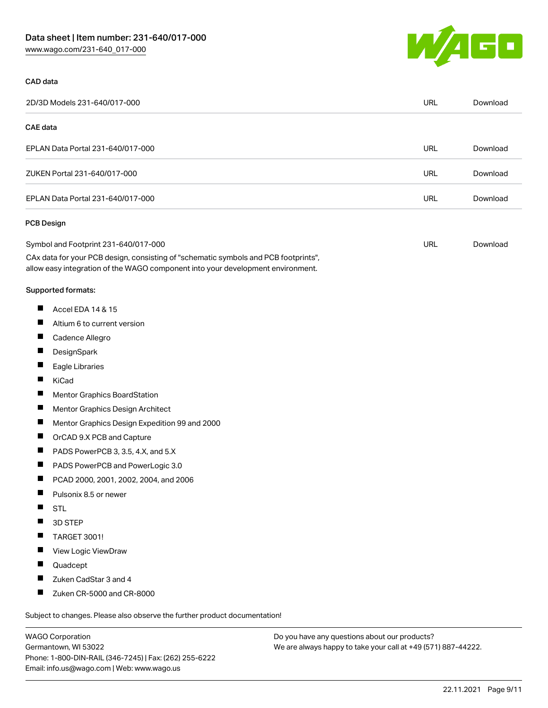

#### CAD data

| 2D/3D Models 231-640/017-000                                                                                                                                           | URL | Download |
|------------------------------------------------------------------------------------------------------------------------------------------------------------------------|-----|----------|
| CAE data                                                                                                                                                               |     |          |
| EPLAN Data Portal 231-640/017-000                                                                                                                                      | URL | Download |
|                                                                                                                                                                        |     |          |
| ZUKEN Portal 231-640/017-000                                                                                                                                           |     | Download |
| EPLAN Data Portal 231-640/017-000                                                                                                                                      |     | Download |
| <b>PCB Design</b>                                                                                                                                                      |     |          |
| Symbol and Footprint 231-640/017-000                                                                                                                                   |     | Download |
| CAx data for your PCB design, consisting of "schematic symbols and PCB footprints",<br>allow easy integration of the WAGO component into your development environment. |     |          |
| Supported formats:                                                                                                                                                     |     |          |
| $\blacksquare$<br>Accel EDA 14 & 15                                                                                                                                    |     |          |
| $\blacksquare$<br>Altium 6 to current version                                                                                                                          |     |          |
| ш<br>Cadence Allegro                                                                                                                                                   |     |          |
| DesignSpark                                                                                                                                                            |     |          |
| ш<br>Eagle Libraries                                                                                                                                                   |     |          |
| ш<br>KiCad                                                                                                                                                             |     |          |
| Mentor Graphics BoardStation                                                                                                                                           |     |          |
| $\blacksquare$<br>Mentor Graphics Design Architect                                                                                                                     |     |          |
| ш<br>Mentor Graphics Design Expedition 99 and 2000                                                                                                                     |     |          |
| $\blacksquare$<br>OrCAD 9.X PCB and Capture                                                                                                                            |     |          |
| ш<br>PADS PowerPCB 3, 3.5, 4.X, and 5.X                                                                                                                                |     |          |
| $\blacksquare$<br>PADS PowerPCB and PowerLogic 3.0                                                                                                                     |     |          |
| Ш<br>PCAD 2000, 2001, 2002, 2004, and 2006                                                                                                                             |     |          |
| Ш<br>Pulsonix 8.5 or newer                                                                                                                                             |     |          |
| <b>STL</b>                                                                                                                                                             |     |          |
| 3D STEP<br>Ш                                                                                                                                                           |     |          |
| П<br>TARGET 3001!                                                                                                                                                      |     |          |
| View Logic ViewDraw<br>H                                                                                                                                               |     |          |
| Ш<br>Quadcept                                                                                                                                                          |     |          |
| ш<br>Zuken CadStar 3 and 4                                                                                                                                             |     |          |

Subject to changes. Please also observe the further product documentation!

WAGO Corporation Germantown, WI 53022 Phone: 1-800-DIN-RAIL (346-7245) | Fax: (262) 255-6222 Email: info.us@wago.com | Web: www.wago.us

Zuken CR-5000 and CR-8000

 $\blacksquare$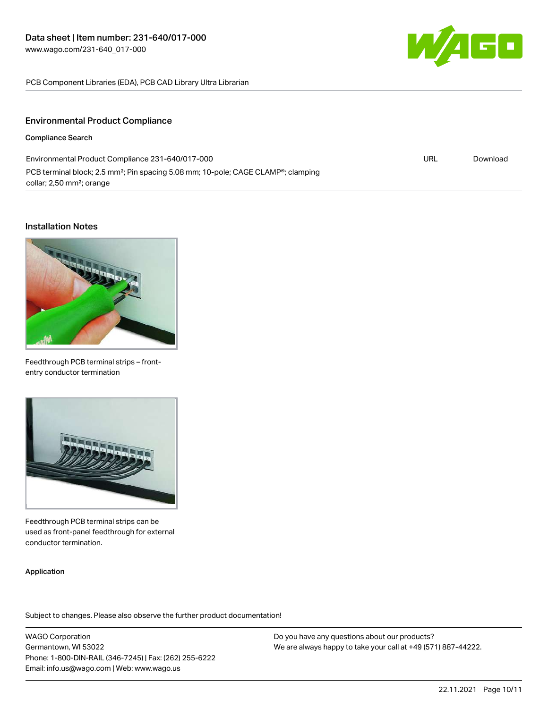

URL [Download](https://www.wago.com/global/d/ComplianceLinkMediaContainer_231-640_017-000)

PCB Component Libraries (EDA), PCB CAD Library Ultra Librarian

#### Environmental Product Compliance

#### Compliance Search

Environmental Product Compliance 231-640/017-000 PCB terminal block; 2.5 mm<sup>2</sup>; Pin spacing 5.08 mm; 10-pole; CAGE CLAMP<sup>®</sup>; clamping collar; 2,50 mm²; orange

#### Installation Notes



Feedthrough PCB terminal strips – frontentry conductor termination



Feedthrough PCB terminal strips can be used as front-panel feedthrough for external conductor termination.

#### Application

Subject to changes. Please also observe the further product documentation!

WAGO Corporation Germantown, WI 53022 Phone: 1-800-DIN-RAIL (346-7245) | Fax: (262) 255-6222 Email: info.us@wago.com | Web: www.wago.us